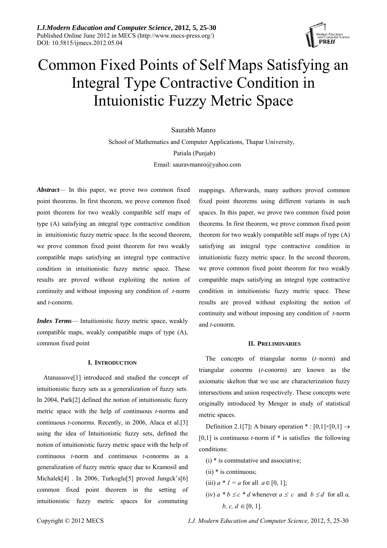

# Common Fixed Points of Self Maps Satisfying an Integral Type Contractive Condition in Intuionistic Fuzzy Metric Space

# Saurabh Manro

 School of Mathematics and Computer Applications, Thapar University, Patiala (Punjab) Email: sauravmanro@yahoo.com

*Abstract*— In this paper, we prove two common fixed point theorems. In first theorem, we prove common fixed point theorem for two weakly compatible self maps of type (A) satisfying an integral type contractive condition in intuitionistic fuzzy metric space. In the second theorem, we prove common fixed point theorem for two weakly compatible maps satisfying an integral type contractive condition in intuitionistic fuzzy metric space. These results are proved without exploiting the notion of continuity and without imposing any condition of *t*-norm and *t*-conorm.

*Index Terms*— Intuitionistic fuzzy metric space, weakly compatible maps, weakly compatible maps of type (A), common fixed point

# **I. INTRODUCTION**

Atanassove[1] introduced and studied the concept of intuitionistic fuzzy sets as a generalization of fuzzy sets. In 2004, Park[2] defined the notion of intuitionistic fuzzy metric space with the help of continuous *t*-norms and continuous *t*-conorms. Recently, in 2006, Alaca et al.[3] using the idea of Intuitionistic fuzzy sets, defined the notion of intuitionistic fuzzy metric space with the help of continuous *t*-norm and continuous *t*-conorms as a generalization of fuzzy metric space due to Kramosil and Michalek<sup>[4]</sup> . In 2006, Turkoglu<sup>[5]</sup> proved Jungck's<sup>[6]</sup> common fixed point theorem in the setting of intuitionistic fuzzy metric spaces for commuting mappings. Afterwards, many authors proved common fixed point theorems using different variants in such spaces. In this paper, we prove two common fixed point theorems. In first theorem, we prove common fixed point theorem for two weakly compatible self maps of type (A) satisfying an integral type contractive condition in intuitionistic fuzzy metric space. In the second theorem, we prove common fixed point theorem for two weakly compatible maps satisfying an integral type contractive condition in intuitionistic fuzzy metric space. These results are proved without exploiting the notion of continuity and without imposing any condition of *t*-norm and *t*-conorm.

#### **II. PRELIMINARIES**

The concepts of triangular norms (*t*–norm) and triangular conorms (*t*-conorm) are known as the axiomatic skelton that we use are characterization fuzzy intersections and union respectively. These concepts were originally introduced by Menger in study of statistical metric spaces.

Definition 2.1[7]: A binary operation \* :  $[0,1] \times [0,1] \rightarrow$ [0,1] is continuous *t*-norm if \* is satisfies the following conditions:

- $(i)$  \* is commutative and associative;
- (ii) \* is continuous;
- (iii)  $a * I = a$  for all  $a \in [0, 1]$ ;
- (iv)  $a * b \leq c * d$  whenever  $a \leq c$  and  $b \leq d$  for all *a*, *b, c, d* ∈ [0, 1].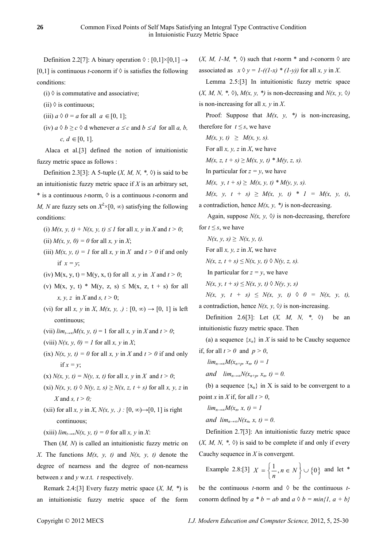Definition 2.2[7]: A binary operation  $\Diamond : [0,1] \times [0,1] \rightarrow$ [0,1] is continuous *t*-conorm if  $\Diamond$  is satisfies the following

conditions:

(i)  $\Diamond$  is commutative and associative;

(ii)  $\Diamond$  is continuous;

- (iii)  $a \Diamond 0 = a$  for all  $a \in [0, 1]$ ;
- (iv)  $a \Diamond b \ge c \Diamond d$  whenever  $a \le c$  and  $b \le d$  for all *a, b, c, d* ∈ [0, 1].

 Alaca et al.[3] defined the notion of intuitionistic fuzzy metric space as follows :

Definition 2.3[3]: A 5-tuple  $(X, M, N, *, \Diamond)$  is said to be an intuitionistic fuzzy metric space if *X* is an arbitrary set, \* is a continuous *t*-norm, ◊ is a continuous *t*-conorm and *M, N* are fuzzy sets on  $X^2 \times [0, \infty)$  satisfying the following conditions:

- (i)  $M(x, y, t) + N(x, y, t) \leq 1$  for all *x*, *y* in *X* and  $t > 0$ ;
- (ii)  $M(x, y, 0) = 0$  for all  $x, y$  in  $X$ ;
- (iii)  $M(x, y, t) = 1$  for all x, y in X and  $t > 0$  if and only if  $x = y$ ;
- (iv)  $M(x, y, t) = M(y, x, t)$  for all *x*, *y* in *X* and  $t > 0$ ;
- (v) M(x, y, t) \* M(y, z, s)  $\leq M(x, z, t + s)$  for all *x, y, z* in *X* and *s, t >* 0;
- (vi) for all *x*, *y* in *X*,  $M(x, y, ...)$ :  $[0, \infty) \rightarrow [0, 1]$  is left continuous;
- (vii)  $\lim_{t\to\infty}M(x, y, t)=1$  for all x, y in X and  $t>0$ ;
- (viii)  $N(x, y, 0) = 1$  for all  $x, y$  in  $X$ ;
- (ix)  $N(x, y, t) = 0$  for all x, y in X and  $t > 0$  if and only if  $x = y$ ;
- (x)  $N(x, y, t) = N(y, x, t)$  for all  $x, y$  in  $X$  and  $t > 0$ ;
- $(x_i)$  *N(x, y, t)*  $\Diamond$  *N(y, z, s)*  $\geq$  *N(x, z, t + s)* for all *x, y, z* in *X* and *s, t > 0;*
- (xii) for all *x*, *y* in *X*,  $N(x, y, .)$  :  $[0, \infty) \rightarrow [0, 1]$  is right continuous;

 $(xiii)$  *lim*<sub>*t*→∞</sub> $N(x, y, t) = 0$  for all *x*, *y* in *X*:

Then (*M, N*) is called an intuitionistic fuzzy metric on *X*. The functions  $M(x, y, t)$  and  $N(x, y, t)$  denote the degree of nearness and the degree of non-nearness between *x* and *y* w.r.t. *t* respectively.

Remark 2.4:[3] Every fuzzy metric space (*X, M, \**) is an intuitionistic fuzzy metric space of the form

 $(X, M, I-M, *, \lozenge)$  such that *t*-norm \* and *t*-conorm  $\lozenge$  are associated as  $x \Diamond y = I - ((I - x) * (I - y))$  for all *x*, *y* in *X*.

Lemma 2.5:[3] In intuitionistic fuzzy metric space  $(X, M, N, *, \diamond)$ ,  $M(x, y, *)$  is non-decreasing and  $N(x, y, \diamond)$ is non-increasing for all *x, y* in *X*.

Proof: Suppose that  $M(x, y, *)$  is non-increasing, therefore for  $t \leq s$ , we have

*M*(*x*, *y*, *t*) ≥ *M*(*x*, *y*, *s*).

For all *x, y, z* in *X*, we have

*M*(*x*, *z*, *t* + *s*) ≥ *M*(*x*, *y*, *t*)  $*$  *M*(*y*, *z*, *s*).

In particular for  $z = y$ , we have

*M*(*x*, *y*, *t* + *s*) ≥ *M*(*x*, *y*, *t*)  $*$  *M*(*y*, *y*, *s*).

*M*(*x*, *y*, *t* + *s*) ≥ *M*(*x*, *y*, *t*) \* *1* = *M*(*x*, *y*, *t*), a contradiction, hence  $M(x, y, *)$  is non-decreasing.

Again, suppose  $N(x, y, \Diamond)$  is non-decreasing, therefore for  $t \leq s$ , we have

 $N(x, y, s) \geq N(x, y, t).$ For all *x, y, z* in *X*, we have

*N(x, z, t + s)* ≤ *N(x, y, t)* ◊ *N(y, z, s)*.

In particular for  $z = y$ , we have

*N*(*x*, *y*, *t* + *s*) ≤ *N*(*x*, *y*, *t*) ◊ *N*(*y*, *y*, *s*)

 $N(x, y, t + s) \leq N(x, y, t) \geq 0 = N(x, y, t),$ a contradiction, hence  $N(x, y, \Diamond)$  is non-increasing.

Definition 2.6[3]: Let  $(X, M, N, *$ ,  $\Diamond)$  be an intuitionistic fuzzy metric space. Then

(a) a sequence  $\{x_n\}$  in *X* is said to be Cauchy sequence if, for all  $t > 0$  and  $p > 0$ ,

 $\lim_{n\to\infty}$ *M*( $x_{n+n}$ ,  $x_n$ , t) = 1

*and*  $\lim_{n\to\infty}N(x_{n+n}, x_n, t)=0.$ 

(b) a sequence  $\{x_n\}$  in X is said to be convergent to a point *x* in *X* if, for all  $t > 0$ ,

 $\lim_{n\to\infty}M(x_n, x, t)=1$ 

*and*  $lim_{n\rightarrow\infty}N(x_n, x, t)=0$ .

Definition 2.7[3]: An intuitionistic fuzzy metric space  $(X, M, N, * , \Diamond)$  is said to be complete if and only if every Cauchy sequence in *X* is convergent.

Example 2.8:[3]  $X = \left\{ \frac{1}{n}, n \in N \right\} \cup \left\{ 0 \right\}$  and let \*

conorm defined by  $a * b = ab$  and  $a \Diamond b = min\{1, a + b\}$ be the continuous *t*-norm and  $\Diamond$  be the continuous *t*-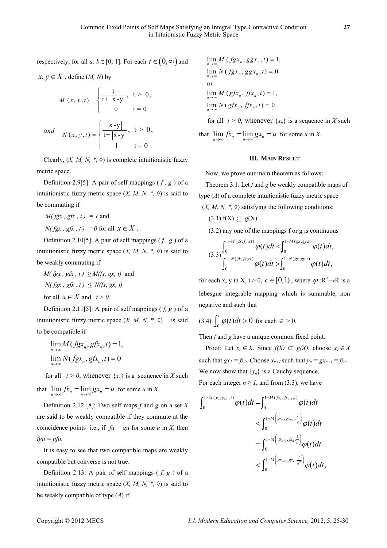respectively, for all *a*, *b*∈[0, 1]. For each  $t \in (0, \infty)$  and

$$
M(x, y, t) = \begin{cases} \frac{t}{t + |x - y|}, & t > 0, \\ 0 & t = 0 \end{cases}
$$
  
and 
$$
N(x, y, t) = \begin{cases} \frac{|x - y|}{t + |x - y|}, & t > 0, \\ 1 & t = 0 \end{cases}
$$

 $x, y \in X$  define (*M, N*) by

Clearly,  $(X, M, N, *, \Diamond)$  is complete intuitionistic fuzzy metric space.

Definition 2.9[5]: A pair of self mappings  $(f, g)$  of a intuitionistic fuzzy metric space  $(X, M, N, * , \Diamond)$  is said to be commuting if

 $M(fgx, gfx, t) = 1$  and

*N( fgx , gfx , t) = 0* for all  $x \in X$ .

Definition 2.10[5]: A pair of self mappings ( *f , g* ) of a intuitionistic fuzzy metric space  $(X, M, N, * , \Diamond)$  is said to be weakly commuting if

$$
M(fgx, gfx, t) \ge M(fx, gx, t)
$$
 and  

$$
N(fgx, gfx, t) \le N(fx, gx, t)
$$
  
for all  $x \in X$  and  $t > 0$ .

Definition 2.11[5]: A pair of self mappings ( *f, g* ) of a intuitionistic fuzzy metric space  $(X, M, N, * , \Diamond)$  is said to be compatible if

$$
\lim_{n \to \infty} M(fgx_n, gfx_n, t) = 1,
$$
  

$$
\lim_{n \to \infty} N(fgx_n, gfx_n, t) = 0
$$

for all  $t > 0$ , whenever  $\{x_n\}$  is a sequence in *X* such that  $\lim_{n \to \infty} fx_n = \lim_{n \to \infty} gx_n = u$  for some *u* in *X*.

Definition 2.12 [8]: Two self maps *f* and *g* on a set *X* are said to be weakly compatible if they commute at the coincidence points i.e., if  $fu = gu$  for some *u* in *X*, then *fgu = gfu.*

It is easy to see that two compatible maps are weakly compatible but converse is not true.

Definition 2.13: A pair of self mappings ( *f, g* ) of a intuitionistic fuzzy metric space  $(X, M, N, * , \Diamond)$  is said to be weakly compatible of type (*A*) if

$$
\lim_{n \to \infty} M(fgx_n, ggx_n, t) = 1,
$$
  
\n
$$
\lim_{n \to \infty} N(fgx_n, ggx_n, t) = 0
$$
  
\nor  
\n
$$
\lim_{n \to \infty} M(gfx_n, ffx_n, t) = 1,
$$
  
\n
$$
\lim_{n \to \infty} N(gfx_n, ffx_n, t) = 0
$$

for all  $t > 0$ , whenever  $\{x_n\}$  is a sequence in *X* such

that  $\lim_{n \to \infty} fx_n = \lim_{n \to \infty} gx_n = u$  for some *u* in *X*.

# **III. MAIN RESULT**

Now, we prove our main theorem as follows:

Theorem 3.1: Let *f* and *g* be weakly compatible maps of type (*A*) of a complete intuitionistic fuzzy metric space  $(X, M, N, * , \Diamond)$  satisfying the following conditions:

- $(3.1)$  f(X)  $\subseteq$  g(X)
- (3.2) any one of the mappings f or g is continuous

$$
(3.3)\int_0^{1-M(\mathit{fx},\mathit{fy},ct)}\varphi(t)dt < \int_0^{1-M(gx,gy,t)}\varphi(t)dt,
$$
  

$$
\int_0^{1-N(\mathit{fx},\mathit{fy},ct)}\varphi(t)dt > \int_0^{1-N(gx,gy,t)}\varphi(t)dt,
$$

for each x, y in X,  $t > 0$ ,  $c \in [0,1)$ , where  $\varphi : R^+ \rightarrow R$  is a lebesgue integrable mapping which is summable, non negative and such that

$$
(3.4)\int_0^{\epsilon}\varphi(t)dt>0 \text{ for each }\epsilon>0.
$$

Then *f* and *g* have a unique common fixed point.

Proof: Let  $x_0 \in X$ . Since  $f(X) \subseteq g(X)$ , choose  $x_1 \in X$ such that  $gx_1 = fx_0$ . Choose  $x_{n+1}$  such that  $y_n = gx_{n+1} = fx_n$ . We now show that  $\{y_n\}$  is a Cauchy sequence. For each integer  $n \geq 1$ , and from (3.3), we have

$$
\int_{0}^{1-M(y_{n}, y_{n+1}, t)} \varphi(t)dt = \int_{0}^{1-M(\hat{f}x_{n}, \hat{f}x_{n+1}, t)} \varphi(t)dt \n< \int_{0}^{1-M(\text{gx}_{n}, \text{gx}_{n+1}, \frac{t}{c})} \varphi(t)dt \n= \int_{0}^{1-M(\hat{f}x_{n-1}, \hat{f}x_{n}, \frac{t}{c})} \varphi(t)dt \n< \int_{0}^{1-M(\text{gx}_{n-1}, \text{gx}_{n}, \frac{t}{c^{2}})} \varphi(t)dt,
$$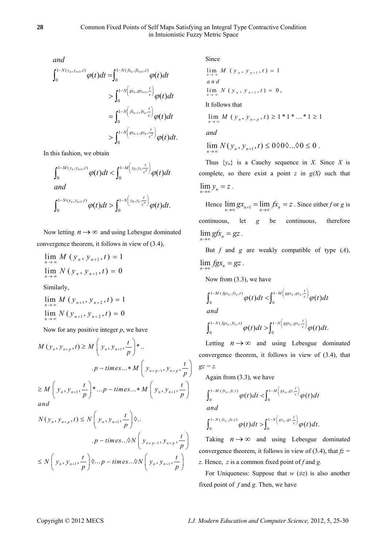*and*

$$
\int_{0}^{1-N(y_{n}, y_{n+1}, t)} \varphi(t)dt = \int_{0}^{1-N(\hat{p}_{n}, \hat{p}_{n+1}, t)} \varphi(t)dt \n\qquad \int_{0}^{1-N\left(gx_{n}, gx_{n+1}, \frac{t}{c}\right)} \varphi(t)dt \n= \int_{0}^{1-N\left(\hat{p}_{n-1}, \hat{p}_{n}, \frac{t}{c}\right)} \varphi(t)dt \n\qquad \int_{0}^{1-N\left(gx_{n-1}, gx_{n}, \frac{t}{c^{2}}\right)} \varphi(t)dt.
$$

In this fashion, we obtain

$$
\int_0^{1-M(y_n, y_{n+1}, t)} \varphi(t) dt < \int_0^{1-M(y_0, y_1, \frac{t}{c^n})} \varphi(t) dt
$$
  
and  

$$
\int_0^{1-N(y_n, y_{n+1}, t)} \varphi(t) dt > \int_0^{1-N(y_0, y_1, \frac{t}{c^n})} \varphi(t) dt.
$$

Now letting  $n \rightarrow \infty$  and using Lebesgue dominated convergence theorem, it follows in view of (3.4),

$$
\lim_{n \to \infty} M(y_n, y_{n+1}, t) = 1
$$
  
\n
$$
\lim_{n \to \infty} N(y_n, y_{n+1}, t) = 0
$$
  
\nSimilarly,

$$
\lim_{n \to \infty} M(y_{n+1}, y_{n+2}, t) = 1
$$
  

$$
\lim_{n \to \infty} N(y_{n+1}, y_{n+2}, t) = 0
$$

Now for any positive integer *p*, we have

$$
M(y_n, y_{n+p}, t) \ge M\left(y_n, y_{n+1}, \frac{t}{p}\right) * ...
$$
  
.  $p - times... * M\left(y_{n+p-1}, y_{n+p}, \frac{t}{p}\right)$   

$$
\ge M\left(y_n, y_{n+1}, \frac{t}{p}\right) * ... p - times... * M\left(y_n, y_{n+1}, \frac{t}{p}\right)
$$
  
and  

$$
N(y_n, y_{n+p}, t) \le N\left(y_n, y_{n+1}, \frac{t}{p}\right) \lozenge ...
$$

$$
p - \text{times...} \otimes N\left(y_{n+p+1}, \frac{t}{p}\right)
$$
  

$$
\leq N\left(y_{n}, y_{n+1}, \frac{t}{p}\right) \otimes \dots p - \text{times...} \otimes N\left(y_{n+p-1}, y_{n+p}, \frac{t}{p}\right)
$$

Since

$$
\lim_{n \to \infty} M (y_n, y_{n+1}, t) = 1
$$
  
and  

$$
\lim_{n \to \infty} N (y_n, y_{n+1}, t) = 0,
$$

It follows that

$$
\lim_{n \to \infty} M (y_n, y_{n+p}, t) \ge 1 * 1 * ... * 1 \ge 1
$$
  
and

$$
\lim_{n\to\infty} N(y_n, y_{n+1}, t) \le 0 \, \text{for all } 0 \le 0.
$$

Thus  $\{y_n\}$  is a Cauchy sequence in *X*. Since *X* is complete, so there exist a point  $z$  in  $g(X)$  such that  $\lim_{n\to\infty} y_n = z$ .

Hence  $\lim_{n \to \infty} gx_{n+1} = \lim_{n \to \infty} fx_n = z$ . Since either *f* or *g* is continuous, let *g* be continuous, therefore  $\lim_{n\to\infty} gfx_n = gz$ .

But *f* and *g* are weakly compatible of type (*A*),  $\lim_{n\to\infty} fgx_n = gz$ .

Now from (3.3), we have

$$
\int_0^{1-M(fgx_n,fx_n,t)}\varphi(t)dt < \int_0^{1-M\left(sgx_n,gx_n,\frac{t}{c}\right)}\varphi(t)dt
$$
 and

$$
\int_0^{1-N(fgx_n,fx_n,t)}\varphi(t)dt>\int_0^{1-N\left(sgx_n,gx_n,\frac{t}{c}\right)}\varphi(t)dt.
$$

Letting  $n \rightarrow \infty$  and using Lebesgue dominated convergence theorem, it follows in view of (3.4), that *gz = z.*

Again from (3.3), we have

$$
\int_0^{1-M\,(f x_n,f z,t)} \varphi(t) dt < \int_0^{1-M\big(s x_n,g z,\frac{t}{c}\big)} \varphi(t) dt
$$

$$
\int_0^{1-N(\int x_n,\int z,t)} \varphi(t) dt > \int_0^{1-N\left(gx_n,gz,\frac{t}{c}\right)} \varphi(t) dt.
$$

Taking  $n \rightarrow \infty$  and using Lebesgue dominated convergence theorem, it follows in view of (3.4), that  $f\overline{z}$  = *z.* Hence, *z* is a common fixed point of *f* and *g.*

For Uniqueness: Suppose that  $w \neq z$  is also another fixed point of *f* and *g*. Then, we have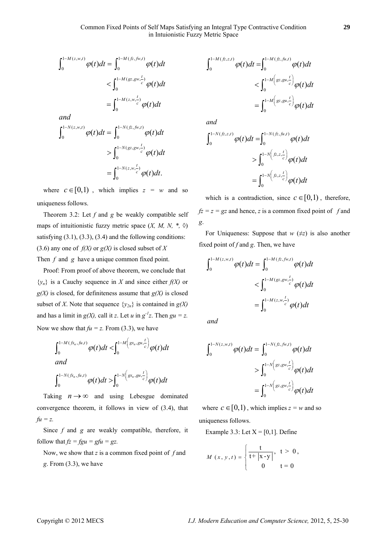$$
\int_{0}^{1-M(z,w,t)} \varphi(t)dt = \int_{0}^{1-M(\bar{z}, f\hat{w}, t)} \varphi(t)dt
$$
  

$$
< \int_{0}^{1-M(\bar{z}, z\hat{w}, \frac{t}{c})} \varphi(t)dt
$$
  

$$
= \int_{0}^{1-M(z, w, \frac{t}{c})} \varphi(t)dt
$$
  
and  

$$
\int_{0}^{1-N(z, w, t)} \varphi(t)dt = \int_{0}^{1-N(\bar{z}, f\hat{w}, t)} \varphi(t)dt
$$
  

$$
> \int_{0}^{1-N(\bar{z}, z\hat{w}, \frac{t}{c})} \varphi(t)dt
$$
  

$$
= \int_{0}^{1-N(z, w, \frac{t}{c})} \varphi(t)dt.
$$

where  $c \in [0,1)$ , which implies  $z = w$  and so uniqueness follows.

Theorem 3.2: Let *f* and *g* be weakly compatible self maps of intuitionistic fuzzy metric space  $(X, M, N, * , \Diamond)$ satisfying  $(3.1)$ ,  $(3.3)$ ,  $(3.4)$  and the following conditions: (3.6) any one of  $f(X)$  or  $g(X)$  is closed subset of X Then *f* and *g* have a unique common fixed point.

Proof: From proof of above theorem, we conclude that  ${y_n}$  is a Cauchy sequence in *X* and since either  $f(X)$  or *g(X)* is closed, for definiteness assume that *g(X)* is closed subset of *X*. Note that sequence  $\{y_{2n}\}\)$  is contained in  $g(X)$ and has a limit in  $g(X)$ , call it *z*. Let *u* in  $g^{-1}z$ . Then  $gu = z$ . Now we show that  $fu = z$ . From (3.3), we have

$$
\int_0^{1-M(\mathfrak{f}_{x_n},\mathfrak{f}_{u,t})} \varphi(t)dt < \int_0^{1-M\left(g_{x_n},g u,\frac{t}{c}\right)} \varphi(t)dt
$$
  
and  

$$
\int_0^{1-N(\mathfrak{f}_{x_n},\mathfrak{f}_{u,t})} \varphi(t)dt > \int_0^{1-N\left(g_{x_n},g u,\frac{t}{c}\right)} \varphi(t)dt
$$

Taking  $n \rightarrow \infty$  and using Lebesgue dominated convergence theorem, it follows in view of (3.4), that *fu = z.*

Since *f* and *g* are weakly compatible, therefore, it follow that  $f_z = fgu = gfu = gz$ .

Now, we show that *z* is a common fixed point of *f* and *g*. From (3.3), we have

$$
\int_0^{1-M(\hat{f}z,\hat{z},t)} \varphi(t)dt = \int_0^{1-M(\hat{f}z,\hat{f}u,t)} \varphi(t)dt
$$
  

$$
< \int_0^{1-M\left(gz,gu,\frac{t}{c}\right)} \varphi(t)dt
$$
  

$$
= \int_0^{1-M\left(gz,gu,\frac{t}{c}\right)} \varphi(t)dt
$$

*and* 

$$
\int_0^{1-N(fz,z,t)} \varphi(t)dt = \int_0^{1-N(fz,fu,t)} \varphi(t)dt
$$
  
> 
$$
\int_0^{1-N\left(fz,z,\frac{t}{c}\right)} \varphi(t)dt
$$
  
= 
$$
\int_0^{1-N\left(fz,z,\frac{t}{c}\right)} \varphi(t)dt
$$

which is a contradiction, since  $c \in [0,1)$ , therefore,  $fz = z = gz$  and hence, *z* is a common fixed point of *f* and *g*.

For Uniqueness: Suppose that  $w \neq z$  is also another fixed point of *f* and *g*. Then, we have

$$
\int_{0}^{1-M(z,w,t)} \varphi(t)dt = \int_{0}^{1-M(\hat{z},fw,t)} \varphi(t)dt
$$
  
< 
$$
< \int_{0}^{1-M(\hat{z},z,w,\frac{t}{c})} \varphi(t)dt
$$
  

$$
= \int_{0}^{1-M(z,w,\frac{t}{c})} \varphi(t)dt
$$

*and* 

$$
\int_0^{1-N(z,w,t)} \varphi(t)dt = \int_0^{1-N(\bar{z},\bar{f}w,t)} \varphi(t)dt
$$
  
> 
$$
\int_0^{1-N\left(gz,gw,\frac{t}{c}\right)} \varphi(t)dt
$$
  
= 
$$
\int_0^{1-N\left(gz,gw,\frac{t}{c}\right)} \varphi(t)dt
$$

where  $c \in [0,1)$ , which implies  $z = w$  and so uniqueness follows.

Example 3.3: Let  $X = [0,1]$ . Define

$$
M(x, y, t) = \begin{cases} \frac{t}{t + |x - y|}, & t > 0, \\ 0 & t = 0 \end{cases}
$$